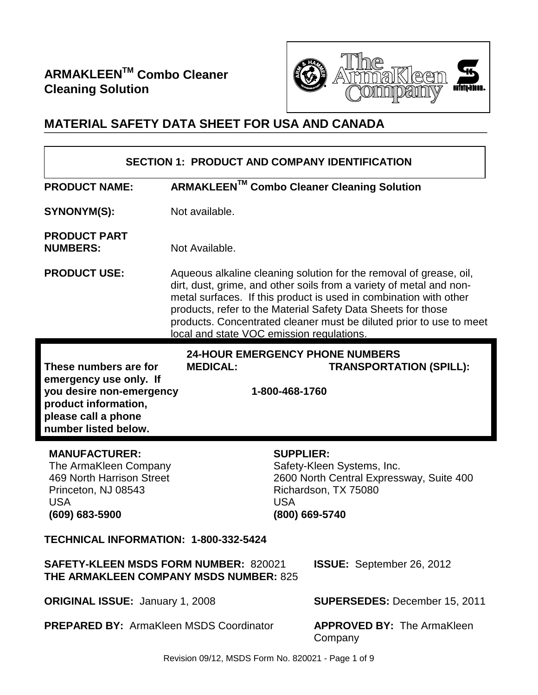

# **MATERIAL SAFETY DATA SHEET FOR USA AND CANADA**

| <b>SECTION 1: PRODUCT AND COMPANY IDENTIFICATION</b>                                                                                                                                                                                                                                        |                                                                                                                                                                                                                                                                                                                                                                                                    |                                              |  |  |
|---------------------------------------------------------------------------------------------------------------------------------------------------------------------------------------------------------------------------------------------------------------------------------------------|----------------------------------------------------------------------------------------------------------------------------------------------------------------------------------------------------------------------------------------------------------------------------------------------------------------------------------------------------------------------------------------------------|----------------------------------------------|--|--|
| <b>PRODUCT NAME:</b>                                                                                                                                                                                                                                                                        | ARMAKLEEN™ Combo Cleaner Cleaning Solution                                                                                                                                                                                                                                                                                                                                                         |                                              |  |  |
| SYNONYM(S):                                                                                                                                                                                                                                                                                 | Not available.                                                                                                                                                                                                                                                                                                                                                                                     |                                              |  |  |
| <b>PRODUCT PART</b><br><b>NUMBERS:</b>                                                                                                                                                                                                                                                      | Not Available.                                                                                                                                                                                                                                                                                                                                                                                     |                                              |  |  |
| <b>PRODUCT USE:</b>                                                                                                                                                                                                                                                                         | Aqueous alkaline cleaning solution for the removal of grease, oil,<br>dirt, dust, grime, and other soils from a variety of metal and non-<br>metal surfaces. If this product is used in combination with other<br>products, refer to the Material Safety Data Sheets for those<br>products. Concentrated cleaner must be diluted prior to use to meet<br>local and state VOC emission regulations. |                                              |  |  |
| <b>24-HOUR EMERGENCY PHONE NUMBERS</b><br>These numbers are for<br><b>MEDICAL:</b><br><b>TRANSPORTATION (SPILL):</b><br>emergency use only. If<br>you desire non-emergency<br>1-800-468-1760<br>product information,<br>please call a phone<br>number listed below.                         |                                                                                                                                                                                                                                                                                                                                                                                                    |                                              |  |  |
| <b>MANUFACTURER:</b><br><b>SUPPLIER:</b><br>The ArmaKleen Company<br>Safety-Kleen Systems, Inc.<br>469 North Harrison Street<br>2600 North Central Expressway, Suite 400<br>Richardson, TX 75080<br>Princeton, NJ 08543<br><b>USA</b><br><b>USA</b><br>$(609) 683 - 5900$<br>(800) 669-5740 |                                                                                                                                                                                                                                                                                                                                                                                                    |                                              |  |  |
| TECHNICAL INFORMATION: 1-800-332-5424                                                                                                                                                                                                                                                       |                                                                                                                                                                                                                                                                                                                                                                                                    |                                              |  |  |
| <b>SAFETY-KLEEN MSDS FORM NUMBER: 820021</b><br><b>ISSUE:</b> September 26, 2012<br><b>THE ARMAKLEEN COMPANY MSDS NUMBER: 825</b>                                                                                                                                                           |                                                                                                                                                                                                                                                                                                                                                                                                    |                                              |  |  |
| <b>ORIGINAL ISSUE: January 1, 2008</b><br><b>SUPERSEDES: December 15, 2011</b>                                                                                                                                                                                                              |                                                                                                                                                                                                                                                                                                                                                                                                    |                                              |  |  |
|                                                                                                                                                                                                                                                                                             |                                                                                                                                                                                                                                                                                                                                                                                                    |                                              |  |  |
| <b>PREPARED BY: ArmaKleen MSDS Coordinator</b>                                                                                                                                                                                                                                              |                                                                                                                                                                                                                                                                                                                                                                                                    | <b>APPROVED BY: The ArmaKleen</b><br>Company |  |  |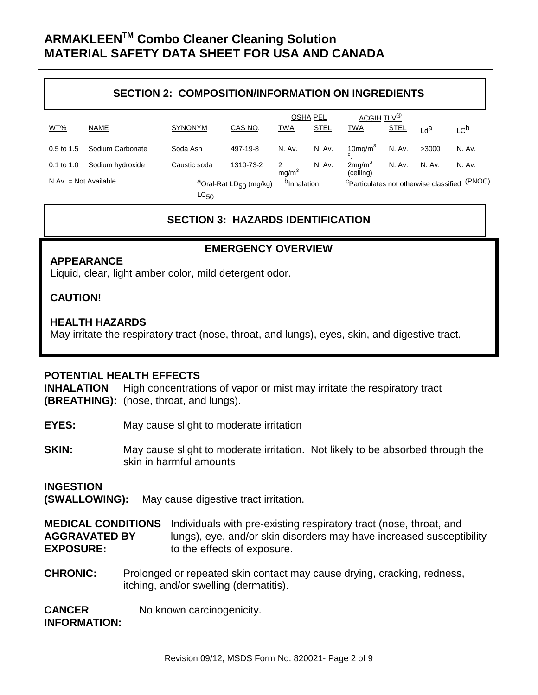#### **SECTION 2: COMPOSITION/INFORMATION ON INGREDIENTS**

|                         |                  |                                                |           |                         | <b>OSHA PEL</b> | ACGIH TLV <sup>®</sup>                                       |               |        |                 |
|-------------------------|------------------|------------------------------------------------|-----------|-------------------------|-----------------|--------------------------------------------------------------|---------------|--------|-----------------|
| WT%                     | NAME             | <b>SYNONYM</b>                                 | CAS NO.   | <b>TWA</b>              | <b>STEL</b>     | <u>TWA</u>                                                   | <b>STEL</b>   | Lda    | LC <sub>p</sub> |
| $0.5$ to 1.5            | Sodium Carbonate | Soda Ash                                       | 497-19-8  | N. Av.                  | N. Av.          | 10mg/m <sup>3,</sup>                                         | N. Av.        | >3000  | N. Av.          |
| $0.1$ to $1.0$          | Sodium hydroxide | Caustic soda                                   | 1310-73-2 | 2<br>mg/m <sup>3</sup>  | N. Av.          | 2mg/m <sup>3</sup><br>(ceiling)                              | <b>N. Av.</b> | N. Av. | N. Av.          |
| $N.Av. = Not Available$ |                  | <sup>a</sup> Oral-Rat LD <sub>50</sub> (mg/kg) |           | <sup>b</sup> Inhalation |                 | (PNOC)<br><sup>C</sup> Particulates not otherwise classified |               |        |                 |
|                         |                  | $LC_{50}$                                      |           |                         |                 |                                                              |               |        |                 |

### **SECTION 3: HAZARDS IDENTIFICATION**

**EMERGENCY OVERVIEW**

#### **APPEARANCE**

Liquid, clear, light amber color, mild detergent odor.

#### **CAUTION!**

#### **HEALTH HAZARDS**

May irritate the respiratory tract (nose, throat, and lungs), eyes, skin, and digestive tract.

#### **POTENTIAL HEALTH EFFECTS**

**INHALATION** High concentrations of vapor or mist may irritate the respiratory tract **(BREATHING):** (nose, throat, and lungs).

- **EYES:** May cause slight to moderate irritation
- **SKIN:** May cause slight to moderate irritation. Not likely to be absorbed through the skin in harmful amounts

## **INGESTION**

**(SWALLOWING):** May cause digestive tract irritation.

**MEDICAL CONDITIONS** Individuals with pre-existing respiratory tract (nose, throat, and **AGGRAVATED BY** lungs), eye, and/or skin disorders may have increased susceptibility **EXPOSURE:** to the effects of exposure.

**CHRONIC:** Prolonged or repeated skin contact may cause drying, cracking, redness, itching, and/or swelling (dermatitis).

**CANCER** No known carcinogenicity. **INFORMATION:**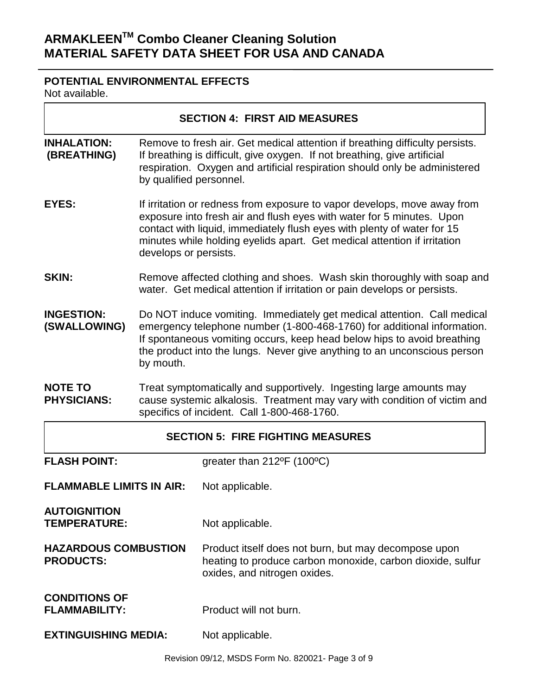## **POTENTIAL ENVIRONMENTAL EFFECTS**

Not available.

|                                                 |                                                                                                                                                                                                                                                                                                                                   | <b>SECTION 4: FIRST AID MEASURES</b>                                                                                                               |  |  |
|-------------------------------------------------|-----------------------------------------------------------------------------------------------------------------------------------------------------------------------------------------------------------------------------------------------------------------------------------------------------------------------------------|----------------------------------------------------------------------------------------------------------------------------------------------------|--|--|
| <b>INHALATION:</b><br>(BREATHING)               | Remove to fresh air. Get medical attention if breathing difficulty persists.<br>If breathing is difficult, give oxygen. If not breathing, give artificial<br>respiration. Oxygen and artificial respiration should only be administered<br>by qualified personnel.                                                                |                                                                                                                                                    |  |  |
| <b>EYES:</b>                                    | If irritation or redness from exposure to vapor develops, move away from<br>exposure into fresh air and flush eyes with water for 5 minutes. Upon<br>contact with liquid, immediately flush eyes with plenty of water for 15<br>minutes while holding eyelids apart. Get medical attention if irritation<br>develops or persists. |                                                                                                                                                    |  |  |
| <b>SKIN:</b>                                    | Remove affected clothing and shoes. Wash skin thoroughly with soap and<br>water. Get medical attention if irritation or pain develops or persists.                                                                                                                                                                                |                                                                                                                                                    |  |  |
| <b>INGESTION:</b><br>(SWALLOWING)               | Do NOT induce vomiting. Immediately get medical attention. Call medical<br>emergency telephone number (1-800-468-1760) for additional information.<br>If spontaneous vomiting occurs, keep head below hips to avoid breathing<br>the product into the lungs. Never give anything to an unconscious person<br>by mouth.            |                                                                                                                                                    |  |  |
| <b>NOTE TO</b><br><b>PHYSICIANS:</b>            | Treat symptomatically and supportively. Ingesting large amounts may<br>cause systemic alkalosis. Treatment may vary with condition of victim and<br>specifics of incident. Call 1-800-468-1760.                                                                                                                                   |                                                                                                                                                    |  |  |
|                                                 |                                                                                                                                                                                                                                                                                                                                   | <b>SECTION 5: FIRE FIGHTING MEASURES</b>                                                                                                           |  |  |
| <b>FLASH POINT:</b>                             |                                                                                                                                                                                                                                                                                                                                   | greater than 212°F (100°C)                                                                                                                         |  |  |
| <b>FLAMMABLE LIMITS IN AIR:</b>                 |                                                                                                                                                                                                                                                                                                                                   | Not applicable.                                                                                                                                    |  |  |
| <b>AUTOIGNITION</b><br><b>TEMPERATURE:</b>      |                                                                                                                                                                                                                                                                                                                                   | Not applicable.                                                                                                                                    |  |  |
| <b>HAZARDOUS COMBUSTION</b><br><b>PRODUCTS:</b> |                                                                                                                                                                                                                                                                                                                                   | Product itself does not burn, but may decompose upon<br>heating to produce carbon monoxide, carbon dioxide, sulfur<br>oxides, and nitrogen oxides. |  |  |
| <b>CONDITIONS OF</b><br><b>FLAMMABILITY:</b>    |                                                                                                                                                                                                                                                                                                                                   | Product will not burn.                                                                                                                             |  |  |
| <b>EXTINGUISHING MEDIA:</b>                     |                                                                                                                                                                                                                                                                                                                                   | Not applicable.                                                                                                                                    |  |  |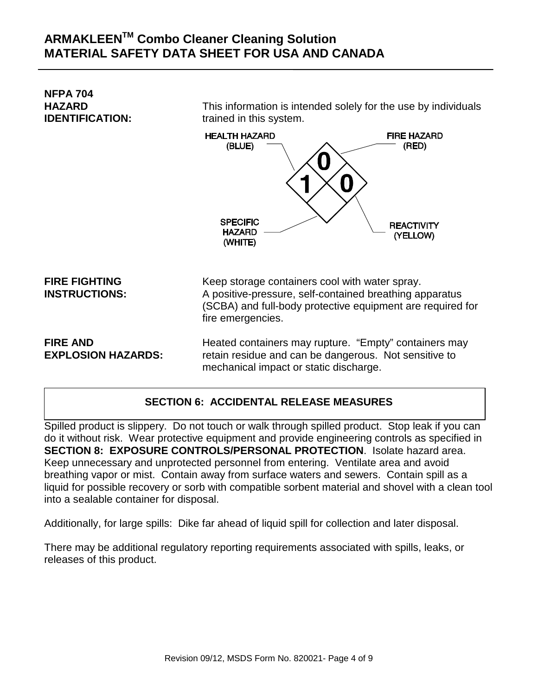**NFPA 704**

This information is intended solely for the use by individuals **IDENTIFICATION:** trained in this system.



**FIRE FIGHTING** Keep storage containers cool with water spray. **INSTRUCTIONS:** A positive-pressure, self-contained breathing apparatus (SCBA) and full-body protective equipment are required for fire emergencies.

**FIRE AND Heated containers may rupture. "Empty" containers may rupture. EXPLOSION HAZARDS:** retain residue and can be dangerous. Not sensitive to mechanical impact or static discharge.

## **SECTION 6: ACCIDENTAL RELEASE MEASURES**

Spilled product is slippery. Do not touch or walk through spilled product. Stop leak if you can do it without risk. Wear protective equipment and provide engineering controls as specified in **SECTION 8: EXPOSURE CONTROLS/PERSONAL PROTECTION**. Isolate hazard area. Keep unnecessary and unprotected personnel from entering. Ventilate area and avoid breathing vapor or mist. Contain away from surface waters and sewers. Contain spill as a liquid for possible recovery or sorb with compatible sorbent material and shovel with a clean tool into a sealable container for disposal.

Additionally, for large spills: Dike far ahead of liquid spill for collection and later disposal.

There may be additional regulatory reporting requirements associated with spills, leaks, or releases of this product.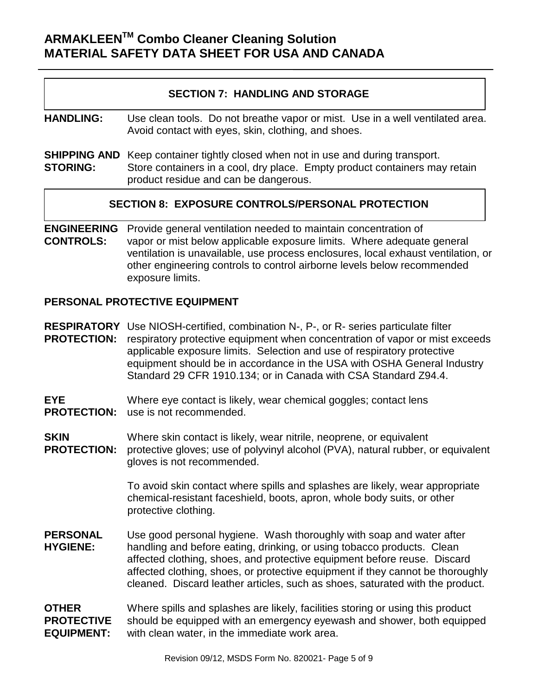### **SECTION 7: HANDLING AND STORAGE**

**HANDLING:** Use clean tools. Do not breathe vapor or mist. Use in a well ventilated area. Avoid contact with eyes, skin, clothing, and shoes.

**SHIPPING AND** Keep container tightly closed when not in use and during transport. **STORING:** Store containers in a cool, dry place. Empty product containers may retain product residue and can be dangerous.

#### **SECTION 8: EXPOSURE CONTROLS/PERSONAL PROTECTION**

**ENGINEERING** Provide general ventilation needed to maintain concentration of **CONTROLS:** vapor or mist below applicable exposure limits. Where adequate general ventilation is unavailable, use process enclosures, local exhaust ventilation, or other engineering controls to control airborne levels below recommended exposure limits.

#### **PERSONAL PROTECTIVE EQUIPMENT**

**RESPIRATORY** Use NIOSH-certified, combination N-, P-, or R- series particulate filter **PROTECTION:** respiratory protective equipment when concentration of vapor or mist exceeds applicable exposure limits. Selection and use of respiratory protective equipment should be in accordance in the USA with OSHA General Industry Standard 29 CFR 1910.134; or in Canada with CSA Standard Z94.4.

**EYE** Where eye contact is likely, wear chemical goggles; contact lens **PROTECTION:** use is not recommended.

**SKIN** Where skin contact is likely, wear nitrile, neoprene, or equivalent **PROTECTION:** protective gloves: use of polyvinyl alcohol (PVA), natural rubber, or protective gloves; use of polyvinyl alcohol (PVA), natural rubber, or equivalent gloves is not recommended.

> To avoid skin contact where spills and splashes are likely, wear appropriate chemical-resistant faceshield, boots, apron, whole body suits, or other protective clothing.

- **PERSONAL** Use good personal hygiene. Wash thoroughly with soap and water after **HYGIENE:** handling and before eating, drinking, or using tobacco products. Clean affected clothing, shoes, and protective equipment before reuse. Discard affected clothing, shoes, or protective equipment if they cannot be thoroughly cleaned. Discard leather articles, such as shoes, saturated with the product.
- **OTHER** Where spills and splashes are likely, facilities storing or using this product **PROTECTIVE** should be equipped with an emergency eyewash and shower, both equipped **EQUIPMENT:** with clean water, in the immediate work area.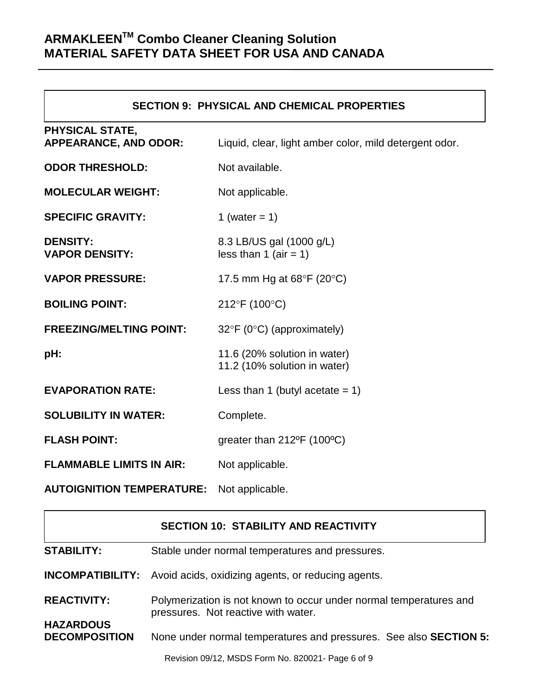$\overline{\phantom{a}}$ 

 $\Box$ 

| <b>SECTION 9: PHYSICAL AND CHEMICAL PROPERTIES</b>     |                                                              |  |  |  |
|--------------------------------------------------------|--------------------------------------------------------------|--|--|--|
| <b>PHYSICAL STATE,</b><br><b>APPEARANCE, AND ODOR:</b> | Liquid, clear, light amber color, mild detergent odor.       |  |  |  |
| <b>ODOR THRESHOLD:</b>                                 | Not available.                                               |  |  |  |
| <b>MOLECULAR WEIGHT:</b>                               | Not applicable.                                              |  |  |  |
| <b>SPECIFIC GRAVITY:</b>                               | 1 (water = $1$ )                                             |  |  |  |
| <b>DENSITY:</b><br><b>VAPOR DENSITY:</b>               | 8.3 LB/US gal (1000 g/L)<br>less than 1 (air = 1)            |  |  |  |
| <b>VAPOR PRESSURE:</b>                                 | 17.5 mm Hg at $68^{\circ}F$ (20 $^{\circ}C$ )                |  |  |  |
| <b>BOILING POINT:</b>                                  | 212°F (100°C)                                                |  |  |  |
| <b>FREEZING/MELTING POINT:</b>                         | $32^{\circ}F$ (0 $^{\circ}C$ ) (approximately)               |  |  |  |
| pH:                                                    | 11.6 (20% solution in water)<br>11.2 (10% solution in water) |  |  |  |
| <b>EVAPORATION RATE:</b>                               | Less than 1 (butyl acetate $= 1$ )                           |  |  |  |
| <b>SOLUBILITY IN WATER:</b>                            | Complete.                                                    |  |  |  |
| <b>FLASH POINT:</b>                                    | greater than $212^{\circ}F$ (100 $^{\circ}C$ )               |  |  |  |
| <b>FLAMMABLE LIMITS IN AIR:</b>                        | Not applicable.                                              |  |  |  |
| <b>AUTOIGNITION TEMPERATURE:</b>                       | Not applicable.                                              |  |  |  |

|                                          | <b>SECTION 10: STABILITY AND REACTIVITY</b>                                                               |  |  |
|------------------------------------------|-----------------------------------------------------------------------------------------------------------|--|--|
| <b>STABILITY:</b>                        | Stable under normal temperatures and pressures.                                                           |  |  |
|                                          | <b>INCOMPATIBILITY:</b> Avoid acids, oxidizing agents, or reducing agents.                                |  |  |
| <b>REACTIVITY:</b>                       | Polymerization is not known to occur under normal temperatures and<br>pressures. Not reactive with water. |  |  |
| <b>HAZARDOUS</b><br><b>DECOMPOSITION</b> | None under normal temperatures and pressures. See also <b>SECTION 5:</b>                                  |  |  |
|                                          | Revision 09/12, MSDS Form No. 820021- Page 6 of 9                                                         |  |  |

٦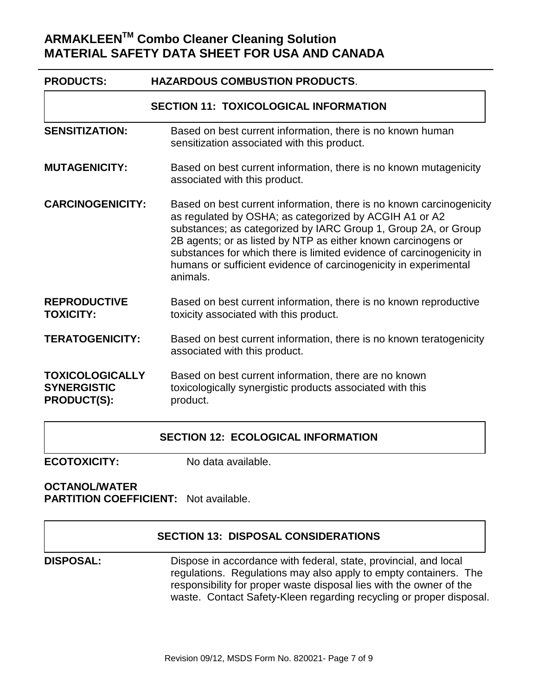| <b>PRODUCTS:</b>                                                   | <b>HAZARDOUS COMBUSTION PRODUCTS.</b>                                                                                                                                                                                                                                                                                                                                                                                     |  |  |  |  |
|--------------------------------------------------------------------|---------------------------------------------------------------------------------------------------------------------------------------------------------------------------------------------------------------------------------------------------------------------------------------------------------------------------------------------------------------------------------------------------------------------------|--|--|--|--|
| <b>SECTION 11: TOXICOLOGICAL INFORMATION</b>                       |                                                                                                                                                                                                                                                                                                                                                                                                                           |  |  |  |  |
| <b>SENSITIZATION:</b>                                              | Based on best current information, there is no known human<br>sensitization associated with this product.                                                                                                                                                                                                                                                                                                                 |  |  |  |  |
| <b>MUTAGENICITY:</b>                                               | Based on best current information, there is no known mutagenicity<br>associated with this product.                                                                                                                                                                                                                                                                                                                        |  |  |  |  |
| <b>CARCINOGENICITY:</b>                                            | Based on best current information, there is no known carcinogenicity<br>as regulated by OSHA; as categorized by ACGIH A1 or A2<br>substances; as categorized by IARC Group 1, Group 2A, or Group<br>2B agents; or as listed by NTP as either known carcinogens or<br>substances for which there is limited evidence of carcinogenicity in<br>humans or sufficient evidence of carcinogenicity in experimental<br>animals. |  |  |  |  |
| <b>REPRODUCTIVE</b><br><b>TOXICITY:</b>                            | Based on best current information, there is no known reproductive<br>toxicity associated with this product.                                                                                                                                                                                                                                                                                                               |  |  |  |  |
| <b>TERATOGENICITY:</b>                                             | Based on best current information, there is no known teratogenicity<br>associated with this product.                                                                                                                                                                                                                                                                                                                      |  |  |  |  |
| <b>TOXICOLOGICALLY</b><br><b>SYNERGISTIC</b><br><b>PRODUCT(S):</b> | Based on best current information, there are no known<br>toxicologically synergistic products associated with this<br>product.                                                                                                                                                                                                                                                                                            |  |  |  |  |

#### **SECTION 12: ECOLOGICAL INFORMATION**

**ECOTOXICITY:** No data available.

#### **OCTANOL/WATER PARTITION COEFFICIENT:** Not available.

|                  | <b>SECTION 13: DISPOSAL CONSIDERATIONS</b>                                                                                                                                                                                                                                         |
|------------------|------------------------------------------------------------------------------------------------------------------------------------------------------------------------------------------------------------------------------------------------------------------------------------|
| <b>DISPOSAL:</b> | Dispose in accordance with federal, state, provincial, and local<br>regulations. Regulations may also apply to empty containers. The<br>responsibility for proper waste disposal lies with the owner of the<br>waste. Contact Safety-Kleen regarding recycling or proper disposal. |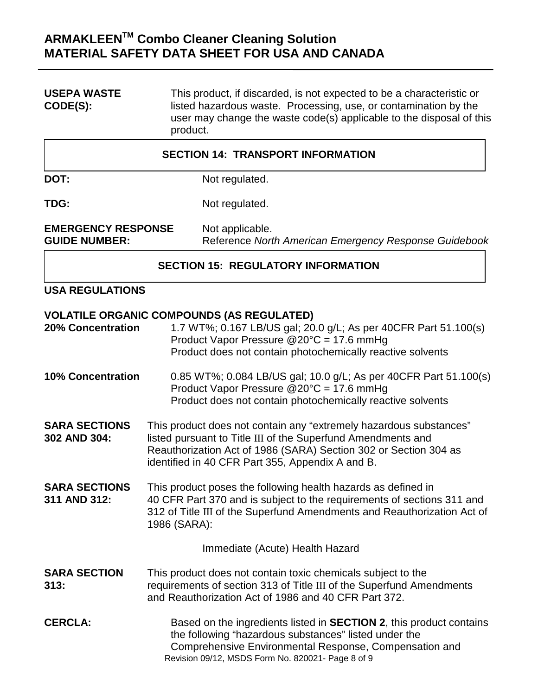**USEPA WASTE** This product, if discarded, is not expected to be a characteristic or<br> **CODE(S):** listed hazardous waste. Processing, use, or contamination by the listed hazardous waste. Processing, use, or contamination by the user may change the waste code(s) applicable to the disposal of this product.

| <b>SECTION 14: TRANSPORT INFORMATION</b>          |                                                                          |  |  |  |
|---------------------------------------------------|--------------------------------------------------------------------------|--|--|--|
| DOT:                                              | Not regulated.                                                           |  |  |  |
| TDG:                                              | Not regulated.                                                           |  |  |  |
| <b>EMERGENCY RESPONSE</b><br><b>GUIDE NUMBER:</b> | Not applicable.<br>Reference North American Emergency Response Guidebook |  |  |  |
|                                                   | <b>SECTION 15: REGULATORY INFORMATION</b>                                |  |  |  |
| <b>USA REGULATIONS</b>                            |                                                                          |  |  |  |

### **VOLATILE ORGANIC COMPOUNDS (AS REGULATED)**

| <b>20% Concentration</b>             | 1.7 WT%; 0.167 LB/US gal; 20.0 g/L; As per 40CFR Part 51.100(s)<br>Product Vapor Pressure @20°C = 17.6 mmHg<br>Product does not contain photochemically reactive solvents                                                                                  |
|--------------------------------------|------------------------------------------------------------------------------------------------------------------------------------------------------------------------------------------------------------------------------------------------------------|
| <b>10% Concentration</b>             | 0.85 WT%; 0.084 LB/US gal; 10.0 g/L; As per 40CFR Part 51.100(s)<br>Product Vapor Pressure $@20^{\circ}C = 17.6$ mmHg<br>Product does not contain photochemically reactive solvents                                                                        |
| <b>SARA SECTIONS</b><br>302 AND 304: | This product does not contain any "extremely hazardous substances"<br>listed pursuant to Title III of the Superfund Amendments and<br>Reauthorization Act of 1986 (SARA) Section 302 or Section 304 as<br>identified in 40 CFR Part 355, Appendix A and B. |
| <b>SARA SECTIONS</b><br>311 AND 312: | This product poses the following health hazards as defined in<br>40 CFR Part 370 and is subject to the requirements of sections 311 and<br>312 of Title III of the Superfund Amendments and Reauthorization Act of<br>1986 (SARA):                         |
|                                      | Immediate (Acute) Health Hazard                                                                                                                                                                                                                            |
| <b>SARA SECTION</b><br>313:          | This product does not contain toxic chemicals subject to the<br>requirements of section 313 of Title III of the Superfund Amendments<br>and Reauthorization Act of 1986 and 40 CFR Part 372.                                                               |
| <b>CERCLA:</b>                       | Based on the ingredients listed in <b>SECTION 2</b> , this product contains<br>the following "hazardous substances" listed under the<br>Comprehensive Environmental Response, Compensation and<br>Revision 09/12, MSDS Form No. 820021- Page 8 of 9        |